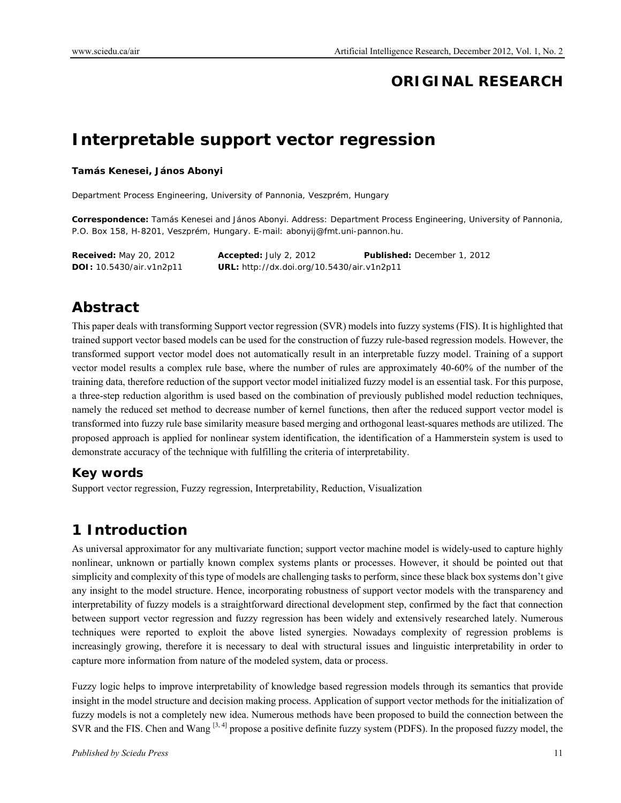# **ORIGINAL RESEARCH**

# **Interpretable support vector regression**

#### **Tamás Kenesei, János Abonyi**

Department Process Engineering, University of Pannonia, Veszprém, Hungary

**Correspondence:** Tamás Kenesei and János Abonyi. Address: Department Process Engineering, University of Pannonia, P.O. Box 158, H-8201, Veszprém, Hungary. E-mail: abonyij@fmt.uni-pannon.hu.

**Received:** May 20, 2012 **Accepted:** July 2, 2012 **Published:** December 1, 2012 **DOI:** 10.5430/air.v1n2p11 **URL:** http://dx.doi.org/10.5430/air.v1n2p11

# **Abstract**

This paper deals with transforming Support vector regression (SVR) models into fuzzy systems (FIS). It is highlighted that trained support vector based models can be used for the construction of fuzzy rule-based regression models. However, the transformed support vector model does not automatically result in an interpretable fuzzy model. Training of a support vector model results a complex rule base, where the number of rules are approximately 40-60% of the number of the training data, therefore reduction of the support vector model initialized fuzzy model is an essential task. For this purpose, a three-step reduction algorithm is used based on the combination of previously published model reduction techniques, namely the reduced set method to decrease number of kernel functions, then after the reduced support vector model is transformed into fuzzy rule base similarity measure based merging and orthogonal least-squares methods are utilized. The proposed approach is applied for nonlinear system identification, the identification of a Hammerstein system is used to demonstrate accuracy of the technique with fulfilling the criteria of interpretability.

### **Key words**

Support vector regression, Fuzzy regression, Interpretability, Reduction, Visualization

# **1 Introduction**

As universal approximator for any multivariate function; support vector machine model is widely-used to capture highly nonlinear, unknown or partially known complex systems plants or processes. However, it should be pointed out that simplicity and complexity of this type of models are challenging tasks to perform, since these black box systems don't give any insight to the model structure. Hence, incorporating robustness of support vector models with the transparency and interpretability of fuzzy models is a straightforward directional development step, confirmed by the fact that connection between support vector regression and fuzzy regression has been widely and extensively researched lately. Numerous techniques were reported to exploit the above listed synergies. Nowadays complexity of regression problems is increasingly growing, therefore it is necessary to deal with structural issues and linguistic interpretability in order to capture more information from nature of the modeled system, data or process.

Fuzzy logic helps to improve interpretability of knowledge based regression models through its semantics that provide insight in the model structure and decision making process. Application of support vector methods for the initialization of fuzzy models is not a completely new idea. Numerous methods have been proposed to build the connection between the SVR and the FIS. Chen and Wang <sup>[3, 4]</sup> propose a positive definite fuzzy system (PDFS). In the proposed fuzzy model, the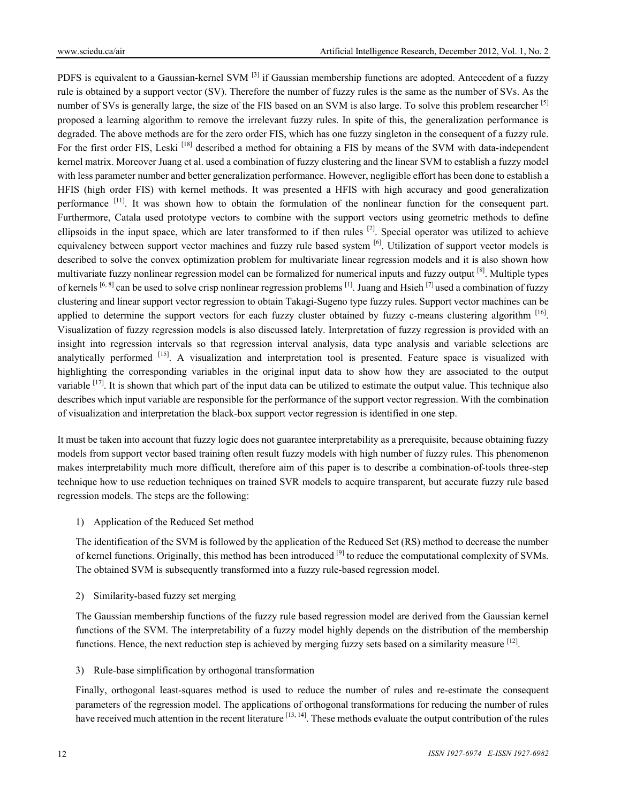PDFS is equivalent to a Gaussian-kernel SVM<sup>[3]</sup> if Gaussian membership functions are adopted. Antecedent of a fuzzy rule is obtained by a support vector (SV). Therefore the number of fuzzy rules is the same as the number of SVs. As the number of SVs is generally large, the size of the FIS based on an SVM is also large. To solve this problem researcher [5] proposed a learning algorithm to remove the irrelevant fuzzy rules. In spite of this, the generalization performance is degraded. The above methods are for the zero order FIS, which has one fuzzy singleton in the consequent of a fuzzy rule. For the first order FIS, Leski <sup>[18]</sup> described a method for obtaining a FIS by means of the SVM with data-independent kernel matrix. Moreover Juang et al. used a combination of fuzzy clustering and the linear SVM to establish a fuzzy model with less parameter number and better generalization performance. However, negligible effort has been done to establish a HFIS (high order FIS) with kernel methods. It was presented a HFIS with high accuracy and good generalization performance  $[11]$ . It was shown how to obtain the formulation of the nonlinear function for the consequent part. Furthermore, Catala used prototype vectors to combine with the support vectors using geometric methods to define ellipsoids in the input space, which are later transformed to if then rules  $[2]$ . Special operator was utilized to achieve equivalency between support vector machines and fuzzy rule based system <sup>[6]</sup>. Utilization of support vector models is described to solve the convex optimization problem for multivariate linear regression models and it is also shown how multivariate fuzzy nonlinear regression model can be formalized for numerical inputs and fuzzy output <sup>[8]</sup>. Multiple types of kernels [6, 8] can be used to solve crisp nonlinear regression problems  $[1]$ . Juang and Hsieh  $[7]$  used a combination of fuzzy clustering and linear support vector regression to obtain Takagi-Sugeno type fuzzy rules. Support vector machines can be applied to determine the support vectors for each fuzzy cluster obtained by fuzzy c-means clustering algorithm  $\frac{16}{6}$ . Visualization of fuzzy regression models is also discussed lately. Interpretation of fuzzy regression is provided with an insight into regression intervals so that regression interval analysis, data type analysis and variable selections are analytically performed <sup>[15]</sup>. A visualization and interpretation tool is presented. Feature space is visualized with highlighting the corresponding variables in the original input data to show how they are associated to the output variable  $[17]$ . It is shown that which part of the input data can be utilized to estimate the output value. This technique also describes which input variable are responsible for the performance of the support vector regression. With the combination of visualization and interpretation the black-box support vector regression is identified in one step.

It must be taken into account that fuzzy logic does not guarantee interpretability as a prerequisite, because obtaining fuzzy models from support vector based training often result fuzzy models with high number of fuzzy rules. This phenomenon makes interpretability much more difficult, therefore aim of this paper is to describe a combination-of-tools three-step technique how to use reduction techniques on trained SVR models to acquire transparent, but accurate fuzzy rule based regression models. The steps are the following:

1) Application of the Reduced Set method

The identification of the SVM is followed by the application of the Reduced Set (RS) method to decrease the number of kernel functions. Originally, this method has been introduced  $^{[9]}$  to reduce the computational complexity of SVMs. The obtained SVM is subsequently transformed into a fuzzy rule-based regression model.

2) Similarity-based fuzzy set merging

The Gaussian membership functions of the fuzzy rule based regression model are derived from the Gaussian kernel functions of the SVM. The interpretability of a fuzzy model highly depends on the distribution of the membership functions. Hence, the next reduction step is achieved by merging fuzzy sets based on a similarity measure  $[12]$ .

3) Rule-base simplification by orthogonal transformation

Finally, orthogonal least-squares method is used to reduce the number of rules and re-estimate the consequent parameters of the regression model. The applications of orthogonal transformations for reducing the number of rules have received much attention in the recent literature [13, 14]. These methods evaluate the output contribution of the rules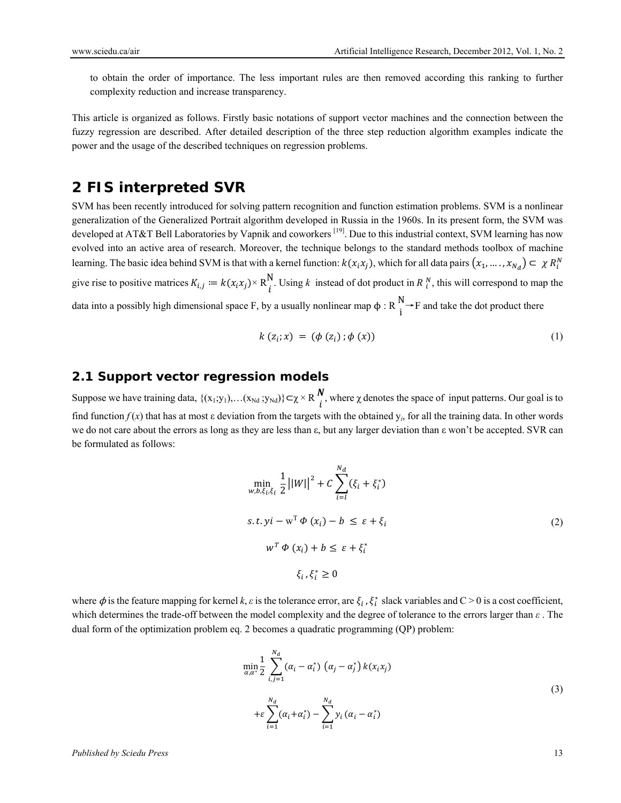to obtain the order of importance. The less important rules are then removed according this ranking to further complexity reduction and increase transparency.

This article is organized as follows. Firstly basic notations of support vector machines and the connection between the fuzzy regression are described. After detailed description of the three step reduction algorithm examples indicate the power and the usage of the described techniques on regression problems.

## **2 FIS interpreted SVR**

SVM has been recently introduced for solving pattern recognition and function estimation problems. SVM is a nonlinear generalization of the Generalized Portrait algorithm developed in Russia in the 1960s. In its present form, the SVM was developed at AT&T Bell Laboratories by Vapnik and coworkers [19]. Due to this industrial context, SVM learning has now evolved into an active area of research. Moreover, the technique belongs to the standard methods toolbox of machine learning. The basic idea behind SVM is that with a kernel function:  $k(x_ix_j)$ , which for all data pairs  $(x_1, \ldots, x_{N_d}) \subset \chi R_i^N$ give rise to positive matrices  $K_{i,j} := k(x_i x_j) \times R_{i}^N$ . Using k instead of dot product in  $R_i^N$ , this will correspond to map the data into a possibly high dimensional space F, by a usually nonlinear map  $\phi : R \to^N \to F$  and take the dot product there

$$
k(z_i; x) = (\phi(z_i); \phi(x))
$$
 (1)

#### **2.1 Support vector regression models**

Suppose we have training data,  $\{(x_1,y_1),...(x_{Nd},y_{Nd})\} \subset \chi \times R$   $\frac{N}{i}$ , where  $\chi$  denotes the space of input patterns. Our goal is to find function  $f(x)$  that has at most  $\varepsilon$  deviation from the targets with the obtained  $y_i$ , for all the training data. In other words we do not care about the errors as long as they are less than ε, but any larger deviation than ε won't be accepted. SVR can be formulated as follows:

$$
\min_{w,b,\xi_i,\xi_i} \frac{1}{2} ||W||^2 + C \sum_{i=l}^{N_d} (\xi_i + \xi_i^*)
$$
  
s.t.  $y_i - w^T \Phi(x_i) - b \le \varepsilon + \xi_i$   

$$
w^T \Phi(x_i) + b \le \varepsilon + \xi_i^*
$$
  

$$
\xi_i, \xi_i^* \ge 0
$$
 (2)

where  $\phi$  is the feature mapping for kernel k,  $\varepsilon$  is the tolerance error, are  $\xi_i$ ,  $\xi_i^*$  slack variables and C > 0 is a cost coefficient, which determines the trade-off between the model complexity and the degree of tolerance to the errors larger than *ε* . The dual form of the optimization problem eq. 2 becomes a quadratic programming (QP) problem:

$$
\min_{\alpha,\alpha^*} \frac{1}{2} \sum_{i,j=1}^{N_d} (\alpha_i - \alpha_i^*) (\alpha_j - \alpha_j^*) k(x_i x_j)
$$
  
+ 
$$
\varepsilon \sum_{i=1}^{N_d} (\alpha_i + \alpha_i^*) - \sum_{i=1}^{N_d} y_i (\alpha_i - \alpha_i^*)
$$
 (3)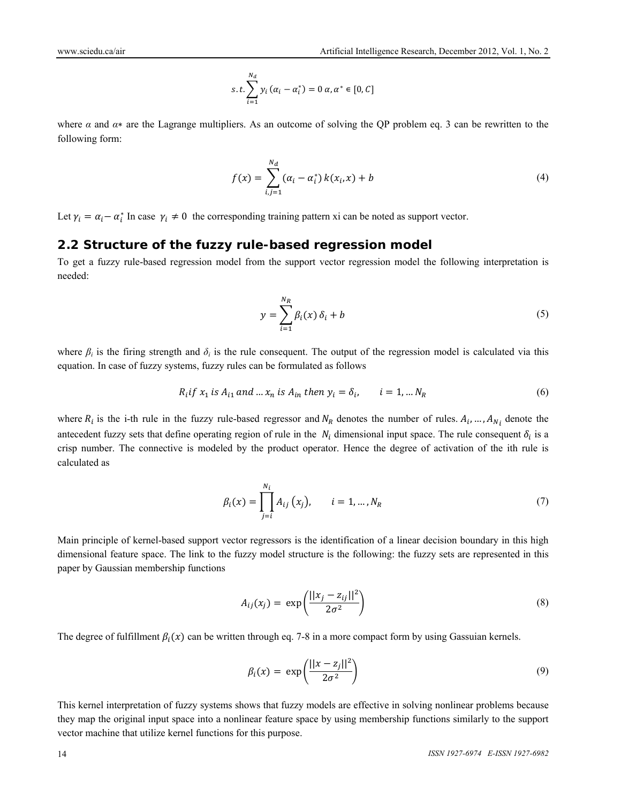$$
s.t. \sum_{i=1}^{N_d} y_i (\alpha_i - \alpha_i^*) = 0 \alpha, \alpha^* \in [0, C]
$$

where  $\alpha$  and  $\alpha*$  are the Lagrange multipliers. As an outcome of solving the QP problem eq. 3 can be rewritten to the following form:

$$
f(x) = \sum_{i,j=1}^{N_d} (\alpha_i - \alpha_i^*) k(x_i, x) + b
$$
 (4)

Let  $\gamma_i = \alpha_i - \alpha_i^*$  In case  $\gamma_i \neq 0$  the corresponding training pattern xi can be noted as support vector.

### **2.2 Structure of the fuzzy rule-based regression model**

To get a fuzzy rule-based regression model from the support vector regression model the following interpretation is needed:

$$
y = \sum_{i=1}^{N_R} \beta_i(x) \, \delta_i + b \tag{5}
$$

where  $\beta_i$  is the firing strength and  $\delta_i$  is the rule consequent. The output of the regression model is calculated via this equation. In case of fuzzy systems, fuzzy rules can be formulated as follows

$$
R_i
$$
 if  $x_1$  is  $A_{i1}$  and ...  $x_n$  is  $A_{in}$  then  $y_i = \delta_i$ ,  $i = 1, ... N_R$  (6)

where  $R_i$  is the i-th rule in the fuzzy rule-based regressor and  $N_R$  denotes the number of rules.  $A_i$ , ...,  $A_{N_i}$  denote the antecedent fuzzy sets that define operating region of rule in the  $N_i$  dimensional input space. The rule consequent  $\delta_i$  is a crisp number. The connective is modeled by the product operator. Hence the degree of activation of the ith rule is calculated as

$$
\beta_i(x) = \prod_{j=i}^{N_i} A_{ij} (x_j), \qquad i = 1, ..., N_R
$$
\n(7)

Main principle of kernel-based support vector regressors is the identification of a linear decision boundary in this high dimensional feature space. The link to the fuzzy model structure is the following: the fuzzy sets are represented in this paper by Gaussian membership functions

$$
A_{ij}(x_j) = \exp\left(\frac{||x_j - z_{ij}||^2}{2\sigma^2}\right) \tag{8}
$$

The degree of fulfillment  $\beta_i(x)$  can be written through eq. 7-8 in a more compact form by using Gassuian kernels.

$$
\beta_i(x) = \exp\left(\frac{||x - z_j||^2}{2\sigma^2}\right) \tag{9}
$$

This kernel interpretation of fuzzy systems shows that fuzzy models are effective in solving nonlinear problems because they map the original input space into a nonlinear feature space by using membership functions similarly to the support vector machine that utilize kernel functions for this purpose.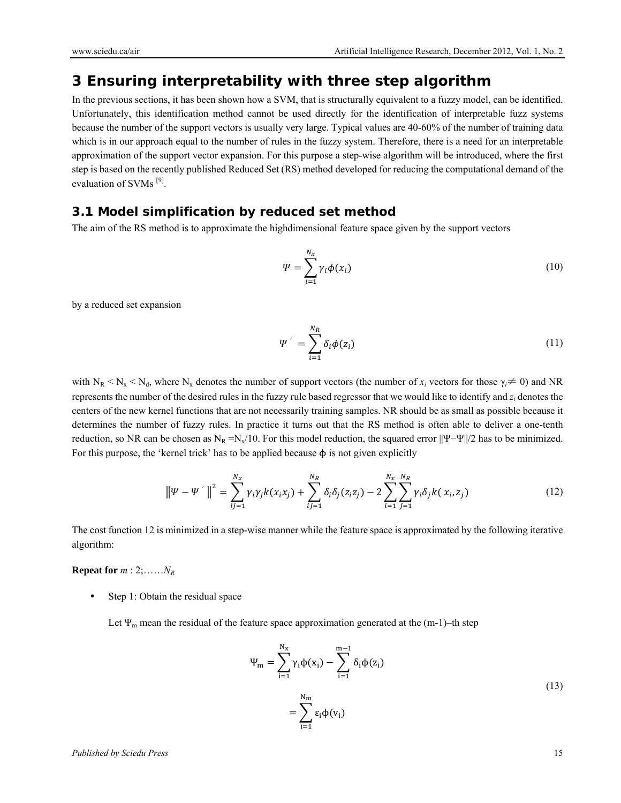# **3 Ensuring interpretability with three step algorithm**

In the previous sections, it has been shown how a SVM, that is structurally equivalent to a fuzzy model, can be identified. Unfortunately, this identification method cannot be used directly for the identification of interpretable fuzz systems because the number of the support vectors is usually very large. Typical values are 40-60% of the number of training data which is in our approach equal to the number of rules in the fuzzy system. Therefore, there is a need for an interpretable approximation of the support vector expansion. For this purpose a step-wise algorithm will be introduced, where the first step is based on the recently published Reduced Set (RS) method developed for reducing the computational demand of the evaluation of SVMs<sup>[9]</sup>.

### **3.1 Model simplification by reduced set method**

The aim of the RS method is to approximate the highdimensional feature space given by the support vectors

$$
\Psi = \sum_{i=1}^{N_X} \gamma_i \phi(x_i) \tag{10}
$$

by a reduced set expansion

$$
\Psi' = \sum_{i=1}^{N_R} \delta_i \phi(z_i) \tag{11}
$$

with  $N_R < N_x < N_d$ , where  $N_x$  denotes the number of support vectors (the number of  $x_i$  vectors for those  $\gamma_i \neq 0$ ) and NR represents the number of the desired rules in the fuzzy rule based regressor that we would like to identify and  $z_i$  denotes the centers of the new kernel functions that are not necessarily training samples. NR should be as small as possible because it determines the number of fuzzy rules. In practice it turns out that the RS method is often able to deliver a one-tenth reduction, so NR can be chosen as N<sub>R</sub> =N<sub>x</sub>/10. For this model reduction, the squared error  $||\Psi - \Psi||/2$  has to be minimized. For this purpose, the 'kernel trick' has to be applied because  $\phi$  is not given explicitly

$$
\|\Psi - \Psi'\|^{2} = \sum_{i,j=1}^{N_{X}} \gamma_{i} \gamma_{j} k(x_{i} x_{j}) + \sum_{i,j=1}^{N_{R}} \delta_{i} \delta_{j} (z_{i} z_{j}) - 2 \sum_{i=1}^{N_{X}} \sum_{j=1}^{N_{R}} \gamma_{i} \delta_{j} k(x_{i}, z_{j})
$$
(12)

The cost function 12 is minimized in a step-wise manner while the feature space is approximated by the following iterative algorithm:

**Repeat for** *m* : 2;……*NR*

Step 1: Obtain the residual space

Let  $\Psi_m$  mean the residual of the feature space approximation generated at the (m-1)–th step

$$
\Psi_{\rm m} = \sum_{i=1}^{N_{\rm x}} \gamma_i \phi(x_i) - \sum_{i=1}^{m-1} \delta_i \phi(z_i)
$$
  
= 
$$
\sum_{i=1}^{N_{\rm m}} \varepsilon_i \phi(v_i)
$$
 (13)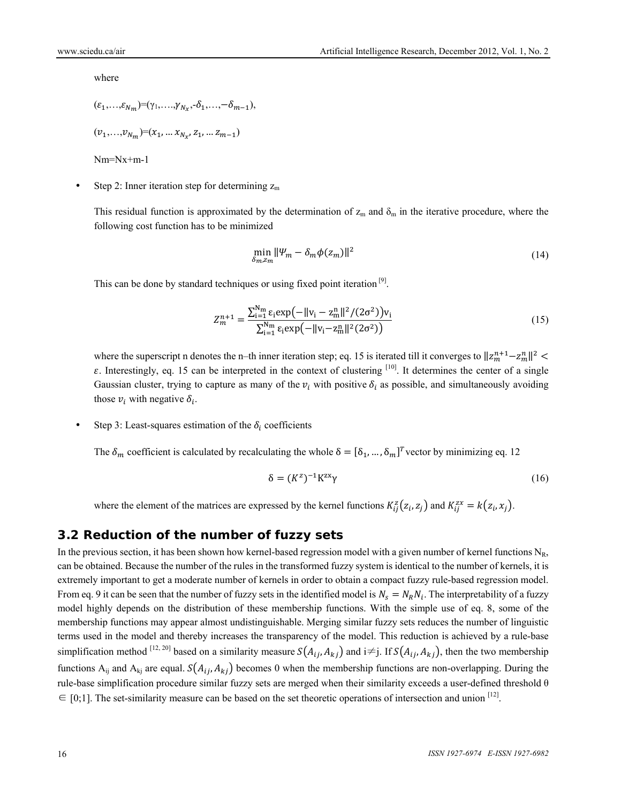where

 $(\varepsilon_1,\ldots,\varepsilon_{N_m})=(\gamma_1,\ldots,\gamma_{N_x},-\delta_1,\ldots,-\delta_{m-1}),$ 

$$
(v_1,\!...,\!v_{N_m})\!\!=\!\!(x_1,...x_{N_x},z_1,...z_{m-1})
$$

Nm=Nx+m-1

Step 2: Inner iteration step for determining  $z_m$ 

This residual function is approximated by the determination of  $z_m$  and  $\delta_m$  in the iterative procedure, where the following cost function has to be minimized

$$
\min_{\delta_m, z_m} \|\Psi_m - \delta_m \phi(z_m)\|^2 \tag{14}
$$

This can be done by standard techniques or using fixed point iteration<sup>[9]</sup>.

$$
Z_m^{n+1} = \frac{\sum_{i=1}^{N_m} \varepsilon_i \exp(-\|v_i - z_m^n\|^2 / (2\sigma^2)) v_i}{\sum_{i=1}^{N_m} \varepsilon_i \exp(-\|v_i - z_m^n\|^2 (2\sigma^2))}
$$
(15)

where the superscript n denotes the n-th inner iteration step; eq. 15 is iterated till it converges to  $||z_m^{n+1} - z_m^n||^2$  $\varepsilon$ . Interestingly, eq. 15 can be interpreted in the context of clustering [10]. It determines the center of a single Gaussian cluster, trying to capture as many of the  $v_i$  with positive  $\delta_i$  as possible, and simultaneously avoiding those  $v_i$  with negative  $\delta_i$ .

#### Step 3: Least-squares estimation of the  $\delta_i$  coefficients

The  $\delta_m$  coefficient is calculated by recalculating the whole  $\delta = [\delta_1, ..., \delta_m]^T$  vector by minimizing eq. 12

$$
\delta = (K^z)^{-1} K^{zx} \gamma \tag{16}
$$

where the element of the matrices are expressed by the kernel functions  $K_{ij}^z(z_i, z_j)$  and  $K_{ij}^{zx} = k(z_i, x_j)$ .

### **3.2 Reduction of the number of fuzzy sets**

In the previous section, it has been shown how kernel-based regression model with a given number of kernel functions  $N_R$ , can be obtained. Because the number of the rules in the transformed fuzzy system is identical to the number of kernels, it is extremely important to get a moderate number of kernels in order to obtain a compact fuzzy rule-based regression model. From eq. 9 it can be seen that the number of fuzzy sets in the identified model is  $N_s = N_R N_i$ . The interpretability of a fuzzy model highly depends on the distribution of these membership functions. With the simple use of eq. 8, some of the membership functions may appear almost undistinguishable. Merging similar fuzzy sets reduces the number of linguistic terms used in the model and thereby increases the transparency of the model. This reduction is achieved by a rule-base simplification method <sup>[12, 20]</sup> based on a similarity measure  $S(A_{ij}, A_{kj})$  and  $i \neq j$ . If  $S(A_{ij}, A_{kj})$ , then the two membership functions A<sub>ij</sub> and A<sub>kj</sub> are equal.  $S(A_{ij}, A_{kj})$  becomes 0 when the membership functions are non-overlapping. During the rule-base simplification procedure similar fuzzy sets are merged when their similarity exceeds a user-defined threshold θ  $\in [0,1]$ . The set-similarity measure can be based on the set theoretic operations of intersection and union  $^{[12]}$ .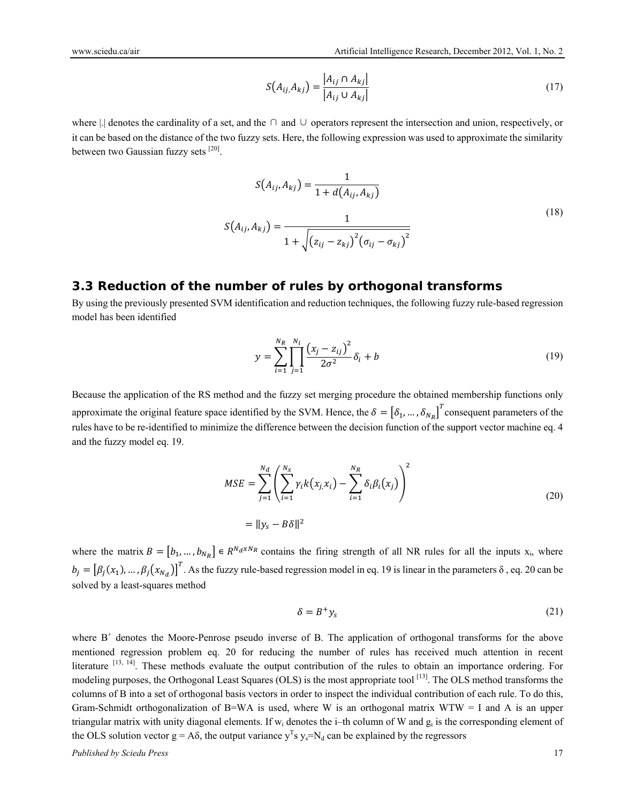$$
S(A_{ij}, A_{kj}) = \frac{|A_{ij} \cap A_{kj}|}{|A_{ij} \cup A_{kj}|}
$$
 (17)

where |.| denotes the cardinality of a set, and the ∩ and ∪ operators represent the intersection and union, respectively, or it can be based on the distance of the two fuzzy sets. Here, the following expression was used to approximate the similarity between two Gaussian fuzzy sets  $[20]$ .

$$
S(A_{ij}, A_{kj}) = \frac{1}{1 + d(A_{ij}, A_{kj})}
$$

$$
S(A_{ij}, A_{kj}) = \frac{1}{1 + \sqrt{(z_{ij} - z_{kj})^2 (\sigma_{ij} - \sigma_{kj})^2}}
$$
(18)

### **3.3 Reduction of the number of rules by orthogonal transforms**

By using the previously presented SVM identification and reduction techniques, the following fuzzy rule-based regression model has been identified

$$
y = \sum_{i=1}^{N_R} \prod_{j=1}^{N_i} \frac{(x_j - z_{ij})^2}{2\sigma^2} \delta_i + b
$$
 (19)

Because the application of the RS method and the fuzzy set merging procedure the obtained membership functions only approximate the original feature space identified by the SVM. Hence, the  $\delta = [\delta_1, ..., \delta_{N_R}]^T$ consequent parameters of the rules have to be re-identified to minimize the difference between the decision function of the support vector machine eq. 4 and the fuzzy model eq. 19.

$$
MSE = \sum_{j=1}^{N_d} \left( \sum_{i=1}^{N_x} \gamma_i k(x_j, x_i) - \sum_{i=1}^{N_R} \delta_i \beta_i(x_j) \right)^2
$$
  
=  $||y_s - B\delta||^2$  (20)

where the matrix  $B = [b_1, ..., b_{N_R}] \in R^{N_d x N_R}$  contains the firing strength of all NR rules for all the inputs  $x_i$ , where  $b_j = [\beta_j(x_1), ..., \beta_j(x_{N_d})]^T$ . As the fuzzy rule-based regression model in eq. 19 is linear in the parameters  $\delta$ , eq. 20 can be solved by a least-squares method

$$
\delta = B^+ y_s \tag{21}
$$

where  $B^+$  denotes the Moore-Penrose pseudo inverse of B. The application of orthogonal transforms for the above mentioned regression problem eq. 20 for reducing the number of rules has received much attention in recent literature [13, 14]. These methods evaluate the output contribution of the rules to obtain an importance ordering. For modeling purposes, the Orthogonal Least Squares (OLS) is the most appropriate tool  $^{[13]}$ . The OLS method transforms the columns of B into a set of orthogonal basis vectors in order to inspect the individual contribution of each rule. To do this, Gram-Schmidt orthogonalization of B=WA is used, where W is an orthogonal matrix  $WTW = I$  and A is an upper triangular matrix with unity diagonal elements. If w<sub>i</sub> denotes the i–th column of W and  $g_i$  is the corresponding element of the OLS solution vector  $g = A\delta$ , the output variance  $y^T s y_s = N_d$  can be explained by the regressors

*Published by Sciedu Press* 17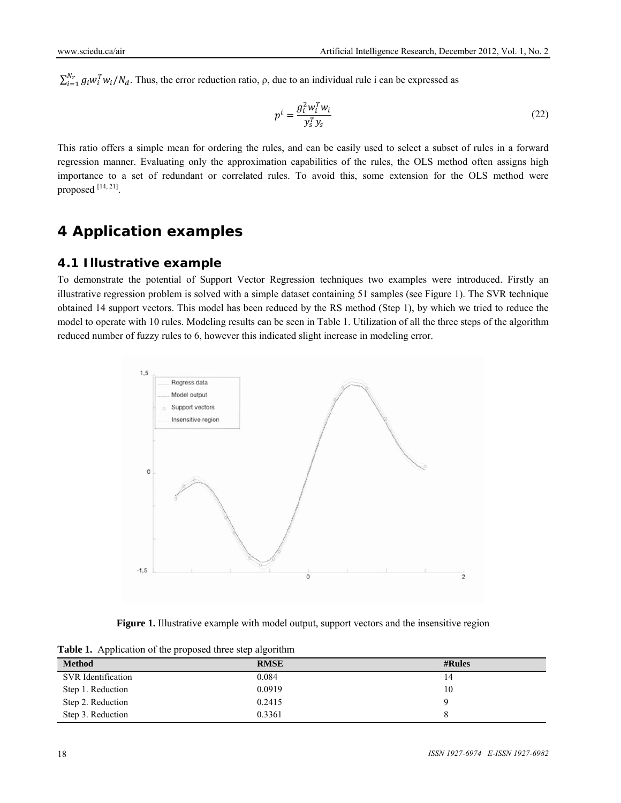$\sum_{i=1}^{N_r} g_i w_i^T w_i / N_d$ . Thus, the error reduction ratio,  $\rho$ , due to an individual rule i can be expressed as

$$
p^i = \frac{g_i^2 w_i^T w_i}{y_s^T y_s} \tag{22}
$$

This ratio offers a simple mean for ordering the rules, and can be easily used to select a subset of rules in a forward regression manner. Evaluating only the approximation capabilities of the rules, the OLS method often assigns high importance to a set of redundant or correlated rules. To avoid this, some extension for the OLS method were proposed  $[14, 21]$ .

## **4 Application examples**

#### **4.1 Illustrative example**

To demonstrate the potential of Support Vector Regression techniques two examples were introduced. Firstly an illustrative regression problem is solved with a simple dataset containing 51 samples (see Figure 1). The SVR technique obtained 14 support vectors. This model has been reduced by the RS method (Step 1), by which we tried to reduce the model to operate with 10 rules. Modeling results can be seen in Table 1. Utilization of all the three steps of the algorithm reduced number of fuzzy rules to 6, however this indicated slight increase in modeling error.



**Figure 1.** Illustrative example with model output, support vectors and the insensitive region

**Table 1.** Application of the proposed three step algorithm

| <b>Method</b>      | <b>RMSE</b> | $\#Rules$ |
|--------------------|-------------|-----------|
| SVR Identification | 0.084       | 14        |
| Step 1. Reduction  | 0.0919      | 10        |
| Step 2. Reduction  | 0.2415      |           |
| Step 3. Reduction  | 0.3361      |           |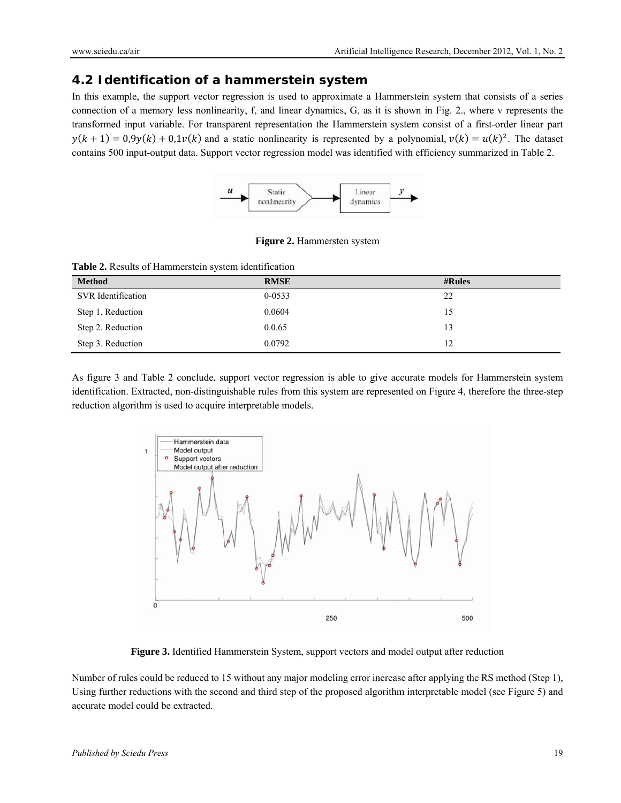## **4.2 Identification of a hammerstein system**

In this example, the support vector regression is used to approximate a Hammerstein system that consists of a series connection of a memory less nonlinearity, f, and linear dynamics, G, as it is shown in Fig. 2., where v represents the transformed input variable. For transparent representation the Hammerstein system consist of a first-order linear part  $y(k+1) = 0.9y(k) + 0.1y(k)$  and a static nonlinearity is represented by a polynomial,  $y(k) = u(k)^2$ . The dataset contains 500 input-output data. Support vector regression model was identified with efficiency summarized in Table 2.



**Figure 2.** Hammersten system

|  | Table 2. Results of Hammerstein system identification |  |  |
|--|-------------------------------------------------------|--|--|
|--|-------------------------------------------------------|--|--|

| <b>Method</b>      | <b>RMSE</b> | $\#Rules$ |
|--------------------|-------------|-----------|
| SVR Identification | 0-0533      | 22        |
| Step 1. Reduction  | 0.0604      | 15        |
| Step 2. Reduction  | 0.0.65      | 13        |
| Step 3. Reduction  | 0.0792      | 12        |

As figure 3 and Table 2 conclude, support vector regression is able to give accurate models for Hammerstein system identification. Extracted, non-distinguishable rules from this system are represented on Figure 4, therefore the three-step reduction algorithm is used to acquire interpretable models.



**Figure 3.** Identified Hammerstein System, support vectors and model output after reduction

Number of rules could be reduced to 15 without any major modeling error increase after applying the RS method (Step 1), Using further reductions with the second and third step of the proposed algorithm interpretable model (see Figure 5) and accurate model could be extracted.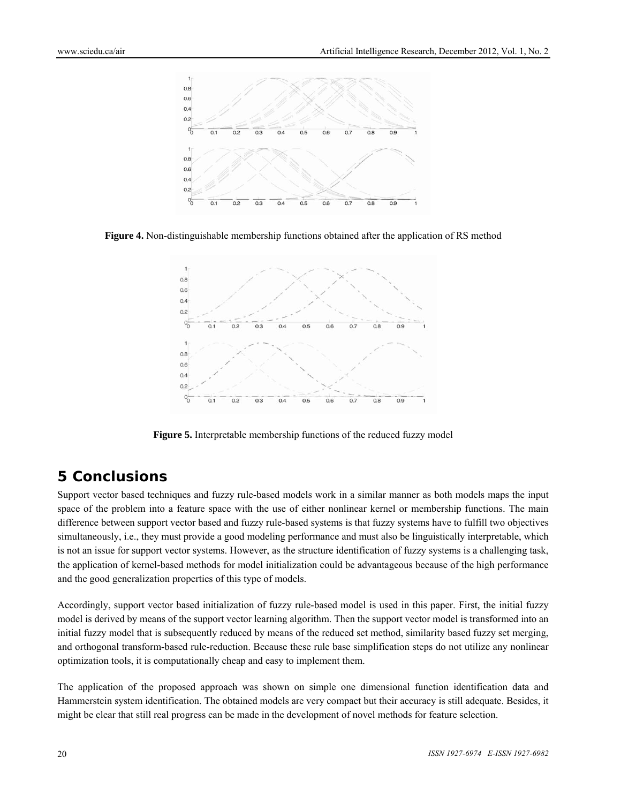

**Figure 4.** Non-distinguishable membership functions obtained after the application of RS method



**Figure 5.** Interpretable membership functions of the reduced fuzzy model

# **5 Conclusions**

Support vector based techniques and fuzzy rule-based models work in a similar manner as both models maps the input space of the problem into a feature space with the use of either nonlinear kernel or membership functions. The main difference between support vector based and fuzzy rule-based systems is that fuzzy systems have to fulfill two objectives simultaneously, i.e., they must provide a good modeling performance and must also be linguistically interpretable, which is not an issue for support vector systems. However, as the structure identification of fuzzy systems is a challenging task, the application of kernel-based methods for model initialization could be advantageous because of the high performance and the good generalization properties of this type of models.

Accordingly, support vector based initialization of fuzzy rule-based model is used in this paper. First, the initial fuzzy model is derived by means of the support vector learning algorithm. Then the support vector model is transformed into an initial fuzzy model that is subsequently reduced by means of the reduced set method, similarity based fuzzy set merging, and orthogonal transform-based rule-reduction. Because these rule base simplification steps do not utilize any nonlinear optimization tools, it is computationally cheap and easy to implement them.

The application of the proposed approach was shown on simple one dimensional function identification data and Hammerstein system identification. The obtained models are very compact but their accuracy is still adequate. Besides, it might be clear that still real progress can be made in the development of novel methods for feature selection.